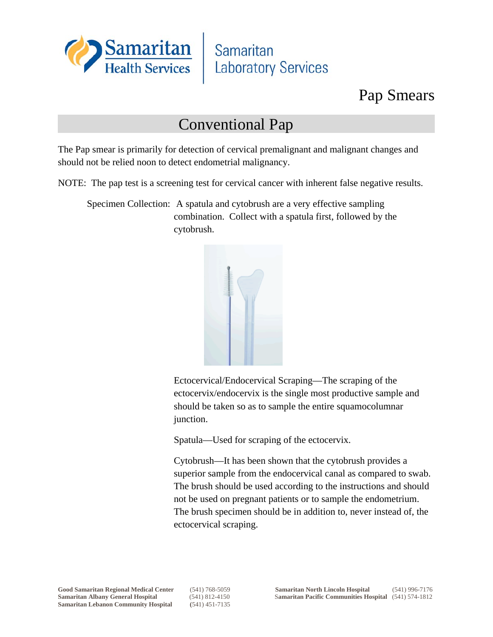

Samaritan **Laboratory Services** 

## Pap Smears

## Conventional Pap

The Pap smear is primarily for detection of cervical premalignant and malignant changes and should not be relied noon to detect endometrial malignancy.

NOTE: The pap test is a screening test for cervical cancer with inherent false negative results.

Specimen Collection: A spatula and cytobrush are a very effective sampling combination. Collect with a spatula first, followed by the cytobrush.



Ectocervical/Endocervical Scraping—The scraping of the ectocervix/endocervix is the single most productive sample and should be taken so as to sample the entire squamocolumnar junction.

Spatula—Used for scraping of the ectocervix.

Cytobrush—It has been shown that the cytobrush provides a superior sample from the endocervical canal as compared to swab. The brush should be used according to the instructions and should not be used on pregnant patients or to sample the endometrium. The brush specimen should be in addition to, never instead of, the ectocervical scraping.